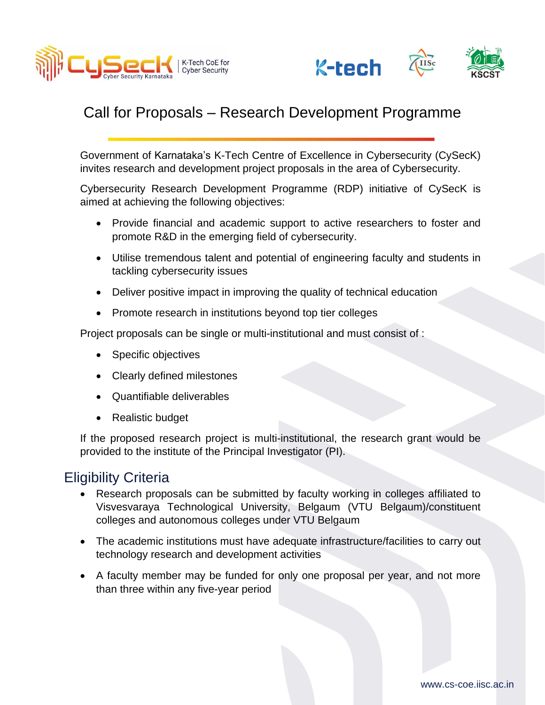



# Call for Proposals – Research Development Programme

Government of Karnataka's K-Tech Centre of Excellence in Cybersecurity (CySecK) invites research and development project proposals in the area of Cybersecurity.

Cybersecurity Research Development Programme (RDP) initiative of CySecK is aimed at achieving the following objectives:

- Provide financial and academic support to active researchers to foster and promote R&D in the emerging field of cybersecurity.
- Utilise tremendous talent and potential of engineering faculty and students in tackling cybersecurity issues
- Deliver positive impact in improving the quality of technical education
- Promote research in institutions beyond top tier colleges

Project proposals can be single or multi-institutional and must consist of :

- Specific objectives
- Clearly defined milestones
- Quantifiable deliverables
- Realistic budget

If the proposed research project is multi-institutional, the research grant would be provided to the institute of the Principal Investigator (PI).

### Eligibility Criteria

- Research proposals can be submitted by faculty working in colleges affiliated to Visvesvaraya Technological University, Belgaum (VTU Belgaum)/constituent colleges and autonomous colleges under VTU Belgaum
- The academic institutions must have adequate infrastructure/facilities to carry out technology research and development activities
- A faculty member may be funded for only one proposal per year, and not more than three within any five-year period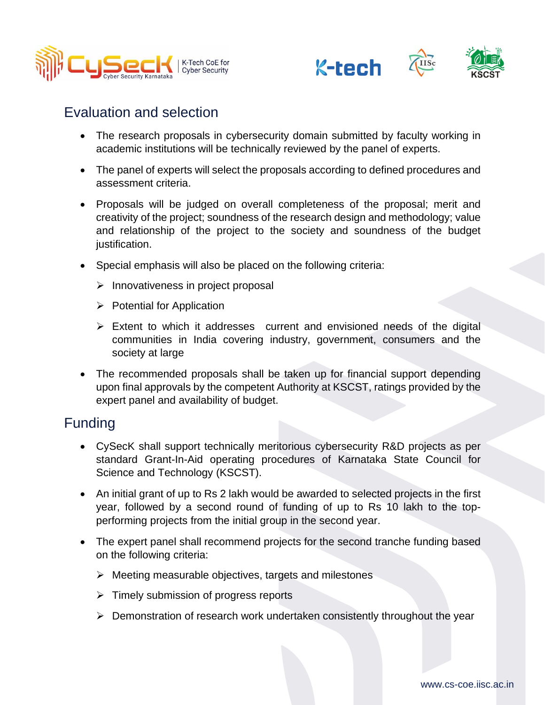





## Evaluation and selection

- The research proposals in cybersecurity domain submitted by faculty working in academic institutions will be technically reviewed by the panel of experts.
- The panel of experts will select the proposals according to defined procedures and assessment criteria.
- Proposals will be judged on overall completeness of the proposal; merit and creativity of the project; soundness of the research design and methodology; value and relationship of the project to the society and soundness of the budget justification.
- Special emphasis will also be placed on the following criteria:
	- ➢ Innovativeness in project proposal
	- $\triangleright$  Potential for Application
	- ➢ Extent to which it addresses current and envisioned needs of the digital communities in India covering industry, government, consumers and the society at large
- The recommended proposals shall be taken up for financial support depending upon final approvals by the competent Authority at KSCST, ratings provided by the expert panel and availability of budget.

### Funding

- CySecK shall support technically meritorious cybersecurity R&D projects as per standard Grant-In-Aid operating procedures of Karnataka State Council for Science and Technology (KSCST).
- An initial grant of up to Rs 2 lakh would be awarded to selected projects in the first year, followed by a second round of funding of up to Rs 10 lakh to the topperforming projects from the initial group in the second year.
- The expert panel shall recommend projects for the second tranche funding based on the following criteria:
	- ➢ Meeting measurable objectives, targets and milestones
	- $\triangleright$  Timely submission of progress reports
	- ➢ Demonstration of research work undertaken consistently throughout the year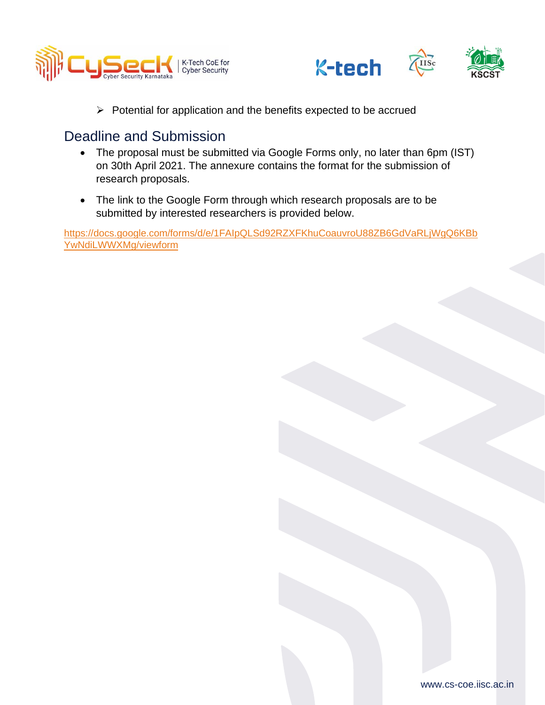



➢ Potential for application and the benefits expected to be accrued

#### Deadline and Submission

- The proposal must be submitted via Google Forms only, no later than 6pm (IST) on 30th April 2021. The annexure contains the format for the submission of research proposals.
- The link to the Google Form through which research proposals are to be submitted by interested researchers is provided below.

[https://docs.google.com/forms/d/e/1FAIpQLSd92RZXFKhuCoauvroU88ZB6GdVaRLjWgQ6KBb](https://docs.google.com/forms/d/e/1FAIpQLSd92RZXFKhuCoauvroU88ZB6GdVaRLjWgQ6KBbYwNdiLWWXMg/viewform) [YwNdiLWWXMg/viewform](https://docs.google.com/forms/d/e/1FAIpQLSd92RZXFKhuCoauvroU88ZB6GdVaRLjWgQ6KBbYwNdiLWWXMg/viewform)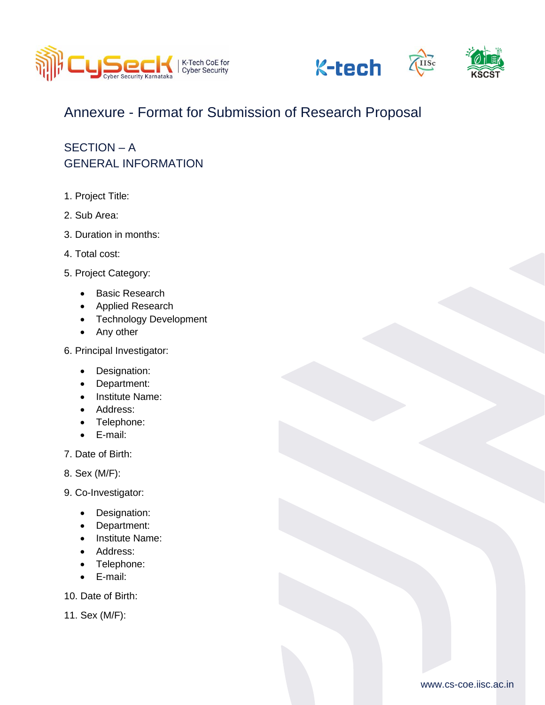





# Annexure - Format for Submission of Research Proposal

#### SECTION – A GENERAL INFORMATION

- 1. Project Title:
- 2. Sub Area:
- 3. Duration in months:
- 4. Total cost:
- 5. Project Category:
	- Basic Research
	- Applied Research
	- Technology Development
	- Any other
- 6. Principal Investigator:
	- Designation:
	- Department:
	- Institute Name:
	- Address:
	- Telephone:
	- E-mail:
- 7. Date of Birth:
- 8. Sex (M/F):
- 9. Co-Investigator:
	- Designation:
	- Department:
	- Institute Name:
	- Address:
	- Telephone:
	- E-mail:
- 10. Date of Birth:
- 11. Sex (M/F):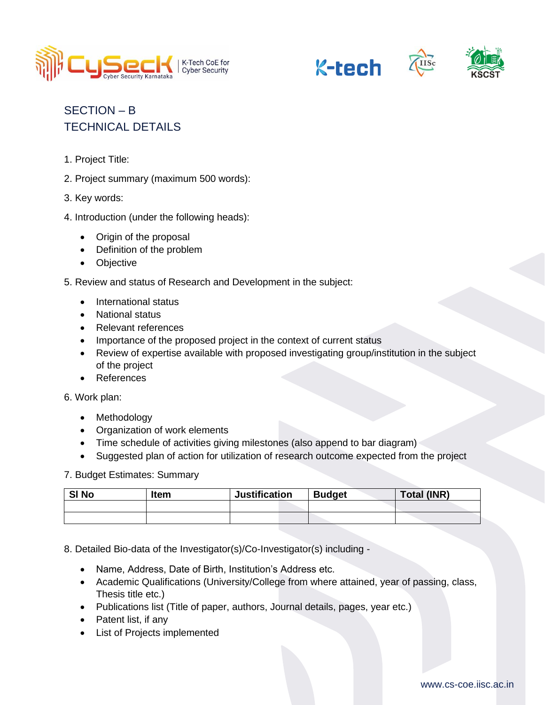





#### SECTION – B TECHNICAL DETAILS

- 1. Project Title:
- 2. Project summary (maximum 500 words):
- 3. Key words:
- 4. Introduction (under the following heads):
	- Origin of the proposal
	- Definition of the problem
	- Objective
- 5. Review and status of Research and Development in the subject:
	- International status
	- National status
	- Relevant references
	- Importance of the proposed project in the context of current status
	- Review of expertise available with proposed investigating group/institution in the subject of the project
	- References

6. Work plan:

- Methodology
- Organization of work elements
- Time schedule of activities giving milestones (also append to bar diagram)
- Suggested plan of action for utilization of research outcome expected from the project

7. Budget Estimates: Summary

| SI <sub>No</sub> | <b>Item</b> | <b>Justification</b> | <b>Budget</b> | <b>Total (INR)</b> |
|------------------|-------------|----------------------|---------------|--------------------|
|                  |             |                      |               |                    |
|                  |             |                      |               |                    |

8. Detailed Bio-data of the Investigator(s)/Co-Investigator(s) including -

- Name, Address, Date of Birth, Institution's Address etc.
- Academic Qualifications (University/College from where attained, year of passing, class, Thesis title etc.)
- Publications list (Title of paper, authors, Journal details, pages, year etc.)
- Patent list, if any
- List of Projects implemented